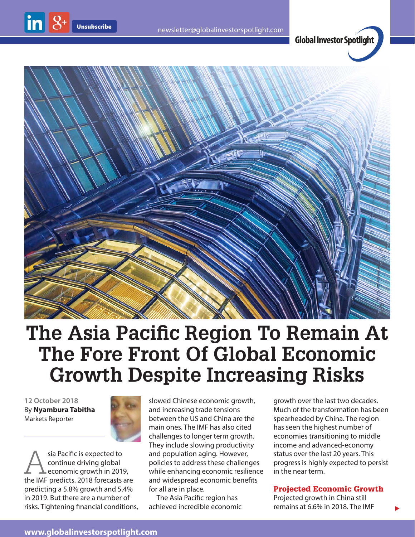$\ln |8$ 

**Global Investor Spotlight**



## **The Asia Pacific Region To Remain At The Fore Front Of Global Economic Growth Despite Increasing Risks**

**12 October 2018** By **Nyambura Tabitha** Markets Reporter



sia Pacific is expected to<br>
continue driving global<br>
economic growth in 2019,<br>
the IME prodicts 2018 forecasts are continue driving global the IMF predicts. 2018 forecasts are predicting a 5.8% growth and 5.4% in 2019. But there are a number of risks. Tightening financial conditions, slowed Chinese economic growth, and increasing trade tensions between the US and China are the main ones. The IMF has also cited challenges to longer term growth. They include slowing productivity and population aging. However, policies to address these challenges while enhancing economic resilience and widespread economic benefits for all are in place.

The Asia Pacific region has achieved incredible economic growth over the last two decades. Much of the transformation has been spearheaded by China. The region has seen the highest number of economies transitioning to middle income and advanced-economy status over the last 20 years. This progress is highly expected to persist in the near term.

## Projected Economic Growth

 $\blacktriangleright$ 

Projected growth in China still remains at 6.6% in 2018. The IMF